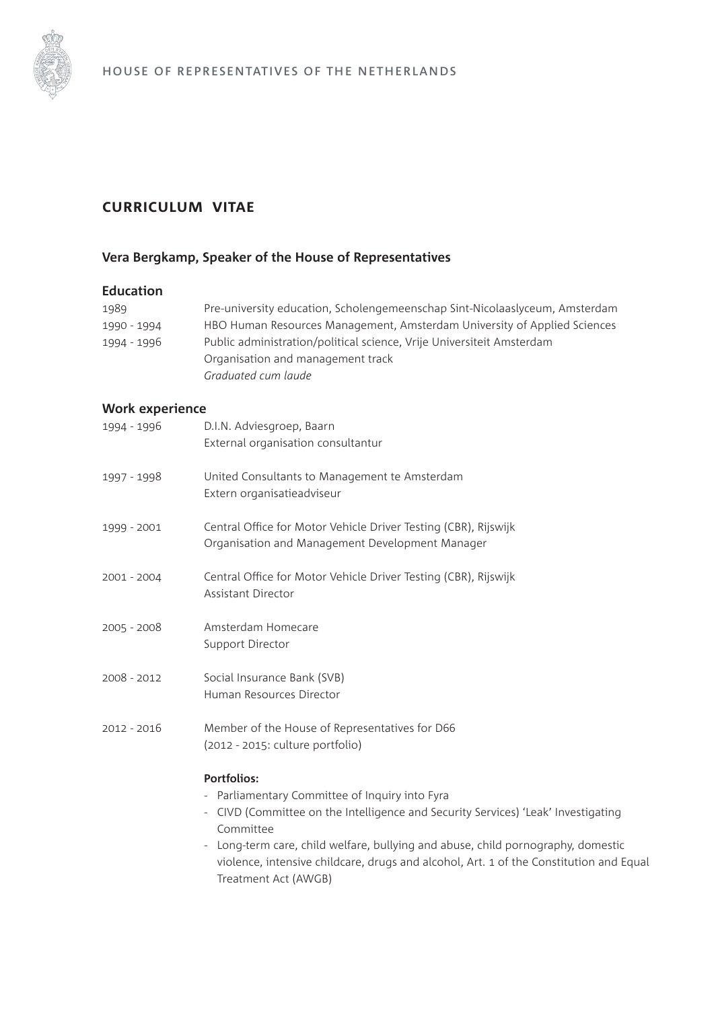

# **curriculum vitae**

## **Vera Bergkamp, Speaker of the House of Representatives**

### **Education**

| 1989        | Pre-university education, Scholengemeenschap Sint-Nicolaaslyceum, Amsterdam |
|-------------|-----------------------------------------------------------------------------|
| 1990 - 1994 | HBO Human Resources Management, Amsterdam University of Applied Sciences    |
| 1994 - 1996 | Public administration/political science, Vrije Universiteit Amsterdam       |
|             | Organisation and management track                                           |
|             | Graduated cum laude                                                         |

## **Work experience**

| D.I.N. Adviesgroep, Baarn<br>External organisation consultantur                                                                                                                                                                                                                                                                                                                                                                |
|--------------------------------------------------------------------------------------------------------------------------------------------------------------------------------------------------------------------------------------------------------------------------------------------------------------------------------------------------------------------------------------------------------------------------------|
| United Consultants to Management te Amsterdam<br>Extern organisatieadviseur                                                                                                                                                                                                                                                                                                                                                    |
| Central Office for Motor Vehicle Driver Testing (CBR), Rijswijk<br>Organisation and Management Development Manager                                                                                                                                                                                                                                                                                                             |
| Central Office for Motor Vehicle Driver Testing (CBR), Rijswijk<br><b>Assistant Director</b>                                                                                                                                                                                                                                                                                                                                   |
| Amsterdam Homecare<br>Support Director                                                                                                                                                                                                                                                                                                                                                                                         |
| Social Insurance Bank (SVB)<br>Human Resources Director                                                                                                                                                                                                                                                                                                                                                                        |
| Member of the House of Representatives for D66<br>(2012 - 2015: culture portfolio)                                                                                                                                                                                                                                                                                                                                             |
| <b>Portfolios:</b><br>Parliamentary Committee of Inquiry into Fyra<br>CIVD (Committee on the Intelligence and Security Services) 'Leak' Investigating<br>$\overline{\phantom{0}}$<br>Committee<br>Long-term care, child welfare, bullying and abuse, child pornography, domestic<br>$\overline{\phantom{a}}$<br>violence, intensive childcare, drugs and alcohol, Art. 1 of the Constitution and Equal<br>Treatment Act (AWGB) |
|                                                                                                                                                                                                                                                                                                                                                                                                                                |